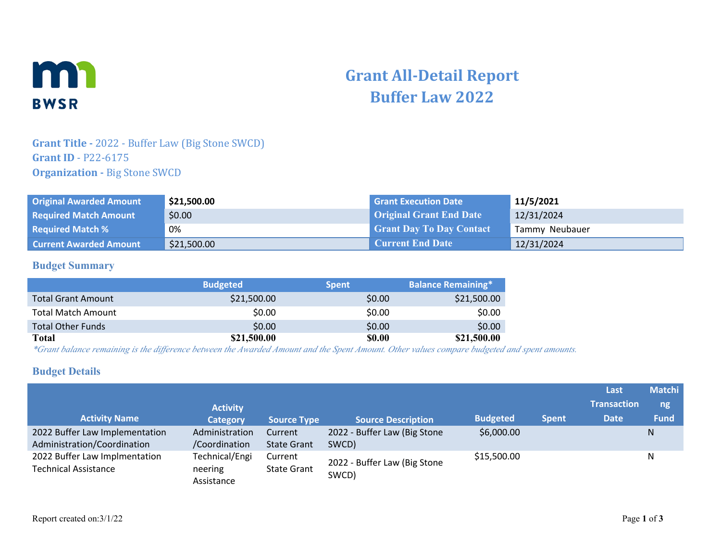

# **Grant All-Detail Report Buffer Law 2022**

## **Grant Title -** 2022 - Buffer Law (Big Stone SWCD) **Grant ID** - P22-6175 **Organization - Big Stone SWCD**

| <b>Original Awarded Amount</b> | \$21,500.00 | <b>Grant Execution Date</b>     | 11/5/2021      |
|--------------------------------|-------------|---------------------------------|----------------|
| <b>Required Match Amount</b>   | \$0.00      | <b>Original Grant End Date</b>  | 12/31/2024     |
| <b>Required Match %</b>        | 0%          | <b>Grant Day To Day Contact</b> | Tammy Neubauer |
| <b>Current Awarded Amount</b>  | \$21,500.00 | <b>Current End Date</b>         | 12/31/2024     |

#### **Budget Summary**

|                           | <b>Budgeted</b> | <b>Spent</b> | <b>Balance Remaining*</b> |
|---------------------------|-----------------|--------------|---------------------------|
| <b>Total Grant Amount</b> | \$21,500.00     | \$0.00       | \$21,500.00               |
| <b>Total Match Amount</b> | \$0.00          | \$0.00       | \$0.00                    |
| <b>Total Other Funds</b>  | \$0.00          | \$0.00       | \$0.00                    |
| Total                     | \$21,500.00     | <b>SO.00</b> | \$21,500.00               |

*\*Grant balance remaining is the difference between the Awarded Amount and the Spent Amount. Other values compare budgeted and spent amounts.*

#### **Budget Details**

|                                                              | <b>Activity</b>           |                               |                              |                 |              | Last<br><b>Transaction</b> | <b>Matchi</b><br>ng, |
|--------------------------------------------------------------|---------------------------|-------------------------------|------------------------------|-----------------|--------------|----------------------------|----------------------|
| <b>Activity Name</b>                                         | <b>Category</b>           | <b>Source Type</b>            | <b>Source Description</b>    | <b>Budgeted</b> | <b>Spent</b> | <b>Date</b>                | <b>Fund</b>          |
| 2022 Buffer Law Implementation                               | Administration            | Current                       | 2022 - Buffer Law (Big Stone | \$6,000.00      |              |                            | N                    |
| Administration/Coordination                                  | /Coordination             | <b>State Grant</b>            | SWCD)                        |                 |              |                            |                      |
| 2022 Buffer Law Implmentation<br><b>Technical Assistance</b> | Technical/Engi<br>neering | Current<br><b>State Grant</b> | 2022 - Buffer Law (Big Stone | \$15,500.00     |              |                            | N                    |
|                                                              | Assistance                | SWCD)                         |                              |                 |              |                            |                      |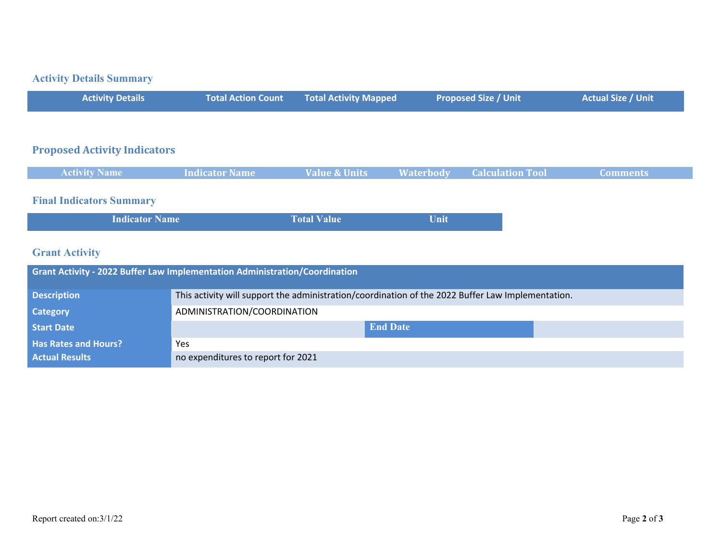# **Activity Details Summary**

| <b>Activity Details</b> |  | Total Action Count Total Activity Mapped | Proposed Size / Unit | <b>Actual Size / Unit</b> |
|-------------------------|--|------------------------------------------|----------------------|---------------------------|
|-------------------------|--|------------------------------------------|----------------------|---------------------------|

## **Proposed Activity Indicators**

## **Final Indicators Summary**

|--|

# **Grant Activity**

| <b>Grant Activity - 2022 Buffer Law Implementation Administration/Coordination</b> |                                                                                                   |  |  |  |
|------------------------------------------------------------------------------------|---------------------------------------------------------------------------------------------------|--|--|--|
| <b>Description</b>                                                                 | This activity will support the administration/coordination of the 2022 Buffer Law Implementation. |  |  |  |
| <b>Category</b>                                                                    | ADMINISTRATION/COORDINATION                                                                       |  |  |  |
| <b>Start Date</b>                                                                  | <b>End Date</b>                                                                                   |  |  |  |
| <b>Has Rates and Hours?</b>                                                        | Yes                                                                                               |  |  |  |
| <b>Actual Results</b>                                                              | no expenditures to report for 2021                                                                |  |  |  |